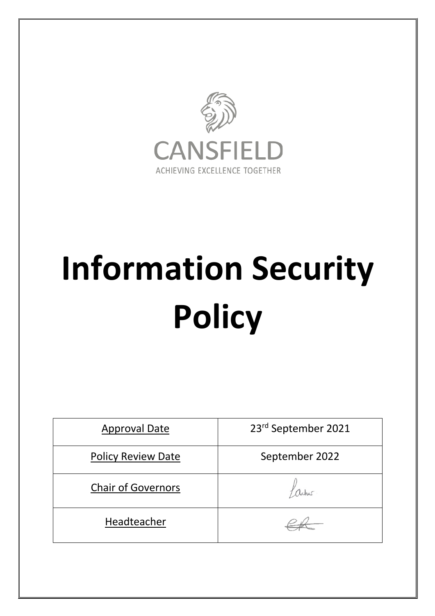

# **Information Security Policy**

| <b>Approval Date</b>      | 23rd September 2021 |
|---------------------------|---------------------|
| <b>Policy Review Date</b> | September 2022      |
| <b>Chair of Governors</b> |                     |
| Headteacher               |                     |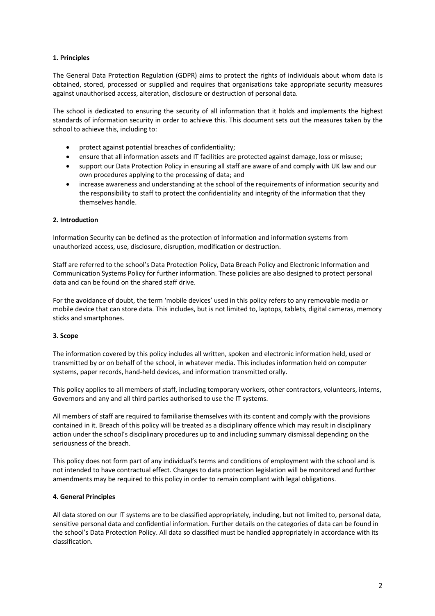# **1. Principles**

The General Data Protection Regulation (GDPR) aims to protect the rights of individuals about whom data is obtained, stored, processed or supplied and requires that organisations take appropriate security measures against unauthorised access, alteration, disclosure or destruction of personal data.

The school is dedicated to ensuring the security of all information that it holds and implements the highest standards of information security in order to achieve this. This document sets out the measures taken by the school to achieve this, including to:

- protect against potential breaches of confidentiality;
- ensure that all information assets and IT facilities are protected against damage, loss or misuse;
- support our Data Protection Policy in ensuring all staff are aware of and comply with UK law and our own procedures applying to the processing of data; and
- increase awareness and understanding at the school of the requirements of information security and the responsibility to staff to protect the confidentiality and integrity of the information that they themselves handle.

## **2. Introduction**

Information Security can be defined as the protection of information and information systems from unauthorized access, use, disclosure, disruption, modification or destruction.

Staff are referred to the school's Data Protection Policy, Data Breach Policy and Electronic Information and Communication Systems Policy for further information. These policies are also designed to protect personal data and can be found on the shared staff drive.

For the avoidance of doubt, the term 'mobile devices' used in this policy refers to any removable media or mobile device that can store data. This includes, but is not limited to, laptops, tablets, digital cameras, memory sticks and smartphones.

## **3. Scope**

The information covered by this policy includes all written, spoken and electronic information held, used or transmitted by or on behalf of the school, in whatever media. This includes information held on computer systems, paper records, hand-held devices, and information transmitted orally.

This policy applies to all members of staff, including temporary workers, other contractors, volunteers, interns, Governors and any and all third parties authorised to use the IT systems.

All members of staff are required to familiarise themselves with its content and comply with the provisions contained in it. Breach of this policy will be treated as a disciplinary offence which may result in disciplinary action under the school's disciplinary procedures up to and including summary dismissal depending on the seriousness of the breach.

This policy does not form part of any individual's terms and conditions of employment with the school and is not intended to have contractual effect. Changes to data protection legislation will be monitored and further amendments may be required to this policy in order to remain compliant with legal obligations.

## **4. General Principles**

All data stored on our IT systems are to be classified appropriately, including, but not limited to, personal data, sensitive personal data and confidential information. Further details on the categories of data can be found in the school's Data Protection Policy. All data so classified must be handled appropriately in accordance with its classification.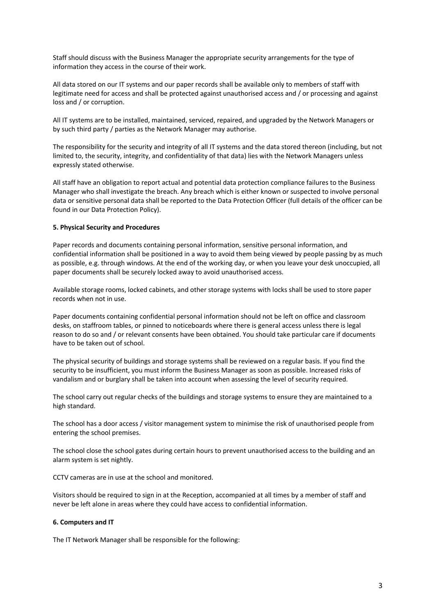Staff should discuss with the Business Manager the appropriate security arrangements for the type of information they access in the course of their work.

All data stored on our IT systems and our paper records shall be available only to members of staff with legitimate need for access and shall be protected against unauthorised access and / or processing and against loss and / or corruption.

All IT systems are to be installed, maintained, serviced, repaired, and upgraded by the Network Managers or by such third party / parties as the Network Manager may authorise.

The responsibility for the security and integrity of all IT systems and the data stored thereon (including, but not limited to, the security, integrity, and confidentiality of that data) lies with the Network Managers unless expressly stated otherwise.

All staff have an obligation to report actual and potential data protection compliance failures to the Business Manager who shall investigate the breach. Any breach which is either known or suspected to involve personal data or sensitive personal data shall be reported to the Data Protection Officer (full details of the officer can be found in our Data Protection Policy).

## **5. Physical Security and Procedures**

Paper records and documents containing personal information, sensitive personal information, and confidential information shall be positioned in a way to avoid them being viewed by people passing by as much as possible, e.g. through windows. At the end of the working day, or when you leave your desk unoccupied, all paper documents shall be securely locked away to avoid unauthorised access.

Available storage rooms, locked cabinets, and other storage systems with locks shall be used to store paper records when not in use.

Paper documents containing confidential personal information should not be left on office and classroom desks, on staffroom tables, or pinned to noticeboards where there is general access unless there is legal reason to do so and / or relevant consents have been obtained. You should take particular care if documents have to be taken out of school.

The physical security of buildings and storage systems shall be reviewed on a regular basis. If you find the security to be insufficient, you must inform the Business Manager as soon as possible. Increased risks of vandalism and or burglary shall be taken into account when assessing the level of security required.

The school carry out regular checks of the buildings and storage systems to ensure they are maintained to a high standard.

The school has a door access / visitor management system to minimise the risk of unauthorised people from entering the school premises.

The school close the school gates during certain hours to prevent unauthorised access to the building and an alarm system is set nightly.

CCTV cameras are in use at the school and monitored.

Visitors should be required to sign in at the Reception, accompanied at all times by a member of staff and never be left alone in areas where they could have access to confidential information.

## **6. Computers and IT**

The IT Network Manager shall be responsible for the following: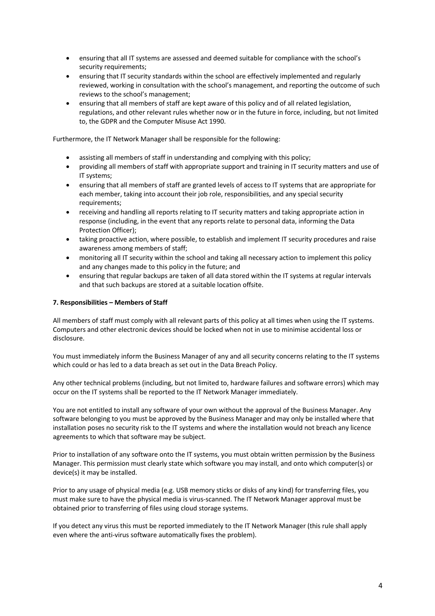- ensuring that all IT systems are assessed and deemed suitable for compliance with the school's security requirements;
- ensuring that IT security standards within the school are effectively implemented and regularly reviewed, working in consultation with the school's management, and reporting the outcome of such reviews to the school's management;
- ensuring that all members of staff are kept aware of this policy and of all related legislation, regulations, and other relevant rules whether now or in the future in force, including, but not limited to, the GDPR and the Computer Misuse Act 1990.

Furthermore, the IT Network Manager shall be responsible for the following:

- assisting all members of staff in understanding and complying with this policy;
- providing all members of staff with appropriate support and training in IT security matters and use of IT systems;
- ensuring that all members of staff are granted levels of access to IT systems that are appropriate for each member, taking into account their job role, responsibilities, and any special security requirements;
- receiving and handling all reports relating to IT security matters and taking appropriate action in response (including, in the event that any reports relate to personal data, informing the Data Protection Officer);
- taking proactive action, where possible, to establish and implement IT security procedures and raise awareness among members of staff;
- monitoring all IT security within the school and taking all necessary action to implement this policy and any changes made to this policy in the future; and
- ensuring that regular backups are taken of all data stored within the IT systems at regular intervals and that such backups are stored at a suitable location offsite.

## **7. Responsibilities – Members of Staff**

All members of staff must comply with all relevant parts of this policy at all times when using the IT systems. Computers and other electronic devices should be locked when not in use to minimise accidental loss or disclosure.

You must immediately inform the Business Manager of any and all security concerns relating to the IT systems which could or has led to a data breach as set out in the Data Breach Policy.

Any other technical problems (including, but not limited to, hardware failures and software errors) which may occur on the IT systems shall be reported to the IT Network Manager immediately.

You are not entitled to install any software of your own without the approval of the Business Manager. Any software belonging to you must be approved by the Business Manager and may only be installed where that installation poses no security risk to the IT systems and where the installation would not breach any licence agreements to which that software may be subject.

Prior to installation of any software onto the IT systems, you must obtain written permission by the Business Manager. This permission must clearly state which software you may install, and onto which computer(s) or device(s) it may be installed.

Prior to any usage of physical media (e.g. USB memory sticks or disks of any kind) for transferring files, you must make sure to have the physical media is virus-scanned. The IT Network Manager approval must be obtained prior to transferring of files using cloud storage systems.

If you detect any virus this must be reported immediately to the IT Network Manager (this rule shall apply even where the anti-virus software automatically fixes the problem).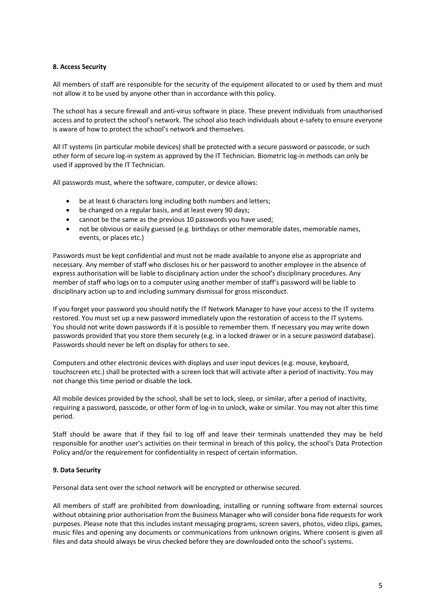#### **8. Access Security**

All members of staff are responsible for the security of the equipment allocated to or used by them and must not allow it to be used by anyone other than in accordance with this policy.

The school has a secure firewall and anti-virus software in place. These prevent individuals from unauthorised access and to protect the school's network. The school also teach individuals about e-safety to ensure everyone is aware of how to protect the school's network and themselves.

All IT systems (in particular mobile devices) shall be protected with a secure password or passcode, or such other form of secure log-in system as approved by the IT Technician. Biometric log-in methods can only be used if approved by the IT Technician.

All passwords must, where the software, computer, or device allows:

- be at least 6 characters long including both numbers and letters;
- be changed on a regular basis, and at least every 90 days;
- cannot be the same as the previous 10 passwords you have used;
- not be obvious or easily guessed (e.g. birthdays or other memorable dates, memorable names, events, or places etc.)

Passwords must be kept confidential and must not be made available to anyone else as appropriate and necessary. Any member of staff who discloses his or her password to another employee in the absence of express authorisation will be liable to disciplinary action under the school's disciplinary procedures. Any member of staff who logs on to a computer using another member of staff's password will be liable to disciplinary action up to and including summary dismissal for gross misconduct.

If you forget your password you should notify the IT Network Manager to have your access to the IT systems restored. You must set up a new password immediately upon the restoration of access to the IT systems. You should not write down passwords if it is possible to remember them. If necessary you may write down passwords provided that you store them securely (e.g. in a locked drawer or in a secure password database). Passwords should never be left on display for others to see.

Computers and other electronic devices with displays and user input devices (e.g. mouse, keyboard, touchscreen etc.) shall be protected with a screen lock that will activate after a period of inactivity. You may not change this time period or disable the lock.

All mobile devices provided by the school, shall be set to lock, sleep, or similar, after a period of inactivity, requiring a password, passcode, or other form of log-in to unlock, wake or similar. You may not alter this time period.

Staff should be aware that if they fail to log off and leave their terminals unattended they may be held responsible for another user's activities on their terminal in breach of this policy, the school's Data Protection Policy and/or the requirement for confidentiality in respect of certain information.

## **9. Data Security**

Personal data sent over the school network will be encrypted or otherwise secured.

All members of staff are prohibited from downloading, installing or running software from external sources without obtaining prior authorisation from the Business Manager who will consider bona fide requests for work purposes. Please note that this includes instant messaging programs, screen savers, photos, video clips, games, music files and opening any documents or communications from unknown origins. Where consent is given all files and data should always be virus checked before they are downloaded onto the school's systems.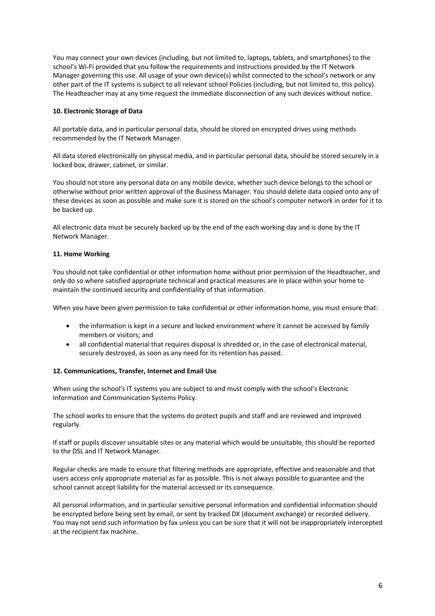You may connect your own devices (including, but not limited to, laptops, tablets, and smartphones) to the school's Wi-Fi provided that you follow the requirements and instructions provided by the IT Network Manager governing this use. All usage of your own device(s) whilst connected to the school's network or any other part of the IT systems is subject to all relevant school Policies (including, but not limited to, this policy). The Headteacher may at any time request the immediate disconnection of any such devices without notice.

# **10. Electronic Storage of Data**

All portable data, and in particular personal data, should be stored on encrypted drives using methods recommended by the IT Network Manager.

All data stored electronically on physical media, and in particular personal data, should be stored securely in a locked box, drawer, cabinet, or similar.

You should not store any personal data on any mobile device, whether such device belongs to the school or otherwise without prior written approval of the Business Manager. You should delete data copied onto any of these devices as soon as possible and make sure it is stored on the school's computer network in order for it to be backed up.

All electronic data must be securely backed up by the end of the each working day and is done by the IT Network Manager.

## **11. Home Working**

You should not take confidential or other information home without prior permission of the Headteacher, and only do so where satisfied appropriate technical and practical measures are in place within your home to maintain the continued security and confidentiality of that information.

When you have been given permission to take confidential or other information home, you must ensure that:

- the information is kept in a secure and locked environment where it cannot be accessed by family members or visitors; and
- all confidential material that requires disposal is shredded or, in the case of electronical material, securely destroyed, as soon as any need for its retention has passed.

## **12. Communications, Transfer, Internet and Email Use**

When using the school's IT systems you are subject to and must comply with the school's Electronic Information and Communication Systems Policy.

The school works to ensure that the systems do protect pupils and staff and are reviewed and improved regularly.

If staff or pupils discover unsuitable sites or any material which would be unsuitable, this should be reported to the DSL and IT Network Manager.

Regular checks are made to ensure that filtering methods are appropriate, effective and reasonable and that users access only appropriate material as far as possible. This is not always possible to guarantee and the school cannot accept liability for the material accessed or its consequence.

All personal information, and in particular sensitive personal information and confidential information should be encrypted before being sent by email, or sent by tracked DX (document exchange) or recorded delivery. You may not send such information by fax unless you can be sure that it will not be inappropriately intercepted at the recipient fax machine.